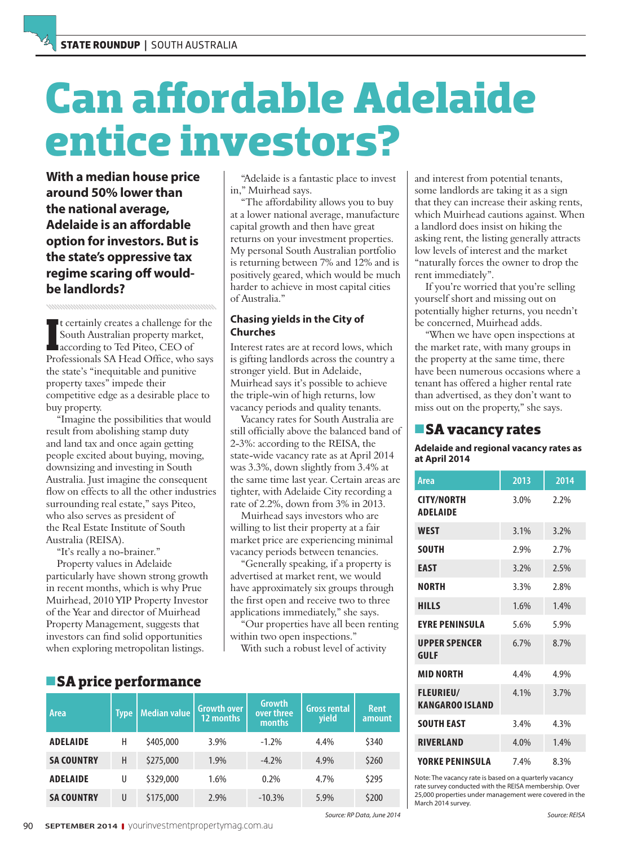# **Can affordable Adelaide entice investors?**

**With a median house price around 50% lower than the national average, Adelaide is an affordable option for investors. But is the state's oppressive tax regime scaring off wouldbe landlords?**

It certainly creates a challenge for the<br>
South Australian property market,<br>
according to Ted Piteo, CEO of<br>
Professionals SA Head Office, who says t certainly creates a challenge for the South Australian property market, according to Ted Piteo, CEO of the state's "inequitable and punitive property taxes" impede their competitive edge as a desirable place to buy property.

"Imagine the possibilities that would result from abolishing stamp duty and land tax and once again getting people excited about buying, moving, downsizing and investing in South Australia. Just imagine the consequent flow on effects to all the other industries surrounding real estate," says Piteo, who also serves as president of the Real Estate Institute of South Australia (REISA).

"It's really a no-brainer."

Property values in Adelaide particularly have shown strong growth in recent months, which is why Prue Muirhead, 2010 YIP Property Investor of the Year and director of Muirhead Property Management, suggests that investors can find solid opportunities when exploring metropolitan listings.

"Adelaide is a fantastic place to invest in," Muirhead says.

"The affordability allows you to buy at a lower national average, manufacture capital growth and then have great returns on your investment properties. My personal South Australian portfolio is returning between 7% and 12% and is positively geared, which would be much harder to achieve in most capital cities of Australia."

#### **Chasing yields in the City of Churches**

Interest rates are at record lows, which is gifting landlords across the country a stronger yield. But in Adelaide, Muirhead says it's possible to achieve the triple-win of high returns, low vacancy periods and quality tenants.

Vacancy rates for South Australia are still officially above the balanced band of 2-3%: according to the REISA, the state-wide vacancy rate as at April 2014 was 3.3%, down slightly from 3.4% at the same time last year. Certain areas are tighter, with Adelaide City recording a rate of 2.2%, down from 3% in 2013.

Muirhead says investors who are willing to list their property at a fair market price are experiencing minimal vacancy periods between tenancies.

"Generally speaking, if a property is advertised at market rent, we would have approximately six groups through the first open and receive two to three applications immediately," she says.

"Our properties have all been renting within two open inspections."

With such a robust level of activity

| Area              | <b>Type</b> | Median value | <b>Growth over</b><br>12 months | <b>Growth</b><br>over three<br>months | <b>Gross rental</b><br>yield | <b>Rent</b><br>amount |
|-------------------|-------------|--------------|---------------------------------|---------------------------------------|------------------------------|-----------------------|
| <b>ADELAIDE</b>   | Н           | \$405,000    | 3.9%                            | $-1.2%$                               | 4.4%                         | \$340                 |
| <b>SA COUNTRY</b> | H           | \$275,000    | 1.9%                            | $-4.2%$                               | 4.9%                         | \$260                 |
| <b>ADELAIDE</b>   | U           | \$329,000    | 1.6%                            | 0.2%                                  | 4.7%                         | \$295                 |
| <b>SA COUNTRY</b> | U           | \$175,000    | 2.9%                            | $-10.3%$                              | 5.9%                         | \$200                 |

and interest from potential tenants, some landlords are taking it as a sign that they can increase their asking rents, which Muirhead cautions against. When a landlord does insist on hiking the asking rent, the listing generally attracts low levels of interest and the market "naturally forces the owner to drop the rent immediately".

If you're worried that you're selling yourself short and missing out on potentially higher returns, you needn't be concerned, Muirhead adds.

"When we have open inspections at the market rate, with many groups in the property at the same time, there have been numerous occasions where a tenant has offered a higher rental rate than advertised, as they don't want to miss out on the property," she says.

### **SA vacancy rates**

**Adelaide and regional vacancy rates as at April 2014**

| Area                                       | 2013 | 2014 |
|--------------------------------------------|------|------|
| <b>CITY/NORTH</b><br><b>ADELAIDE</b>       | 3.0% | 2.2% |
| <b>WEST</b>                                | 3.1% | 3.2% |
| <b>SOUTH</b>                               | 2.9% | 2.7% |
| EAST                                       | 3.2% | 2.5% |
| <b>NORTH</b>                               | 3.3% | 2.8% |
| <b>HILLS</b>                               | 1.6% | 1.4% |
| <b>EYRE PENINSULA</b>                      | 5.6% | 5.9% |
| <b>UPPER SPENCER</b><br>GULF               | 6.7% | 8.7% |
| <b>MID NORTH</b>                           | 4.4% | 4.9% |
| <b>FLEURIEU/</b><br><b>KANGAROO ISLAND</b> | 4.1% | 3.7% |
| <b>SOUTH EAST</b>                          | 3.4% | 4.3% |
| <b>RIVERLAND</b>                           | 4.0% | 1.4% |
| YORKE PENINSULA                            | 7.4% | 8.3% |

Note: The vacancy rate is based on a quarterly vacancy rate survey conducted with the REISA membership. Over 25,000 properties under management were covered in the March 2014 survey.

Source: RP Data, June 2014

## **SA price performance**